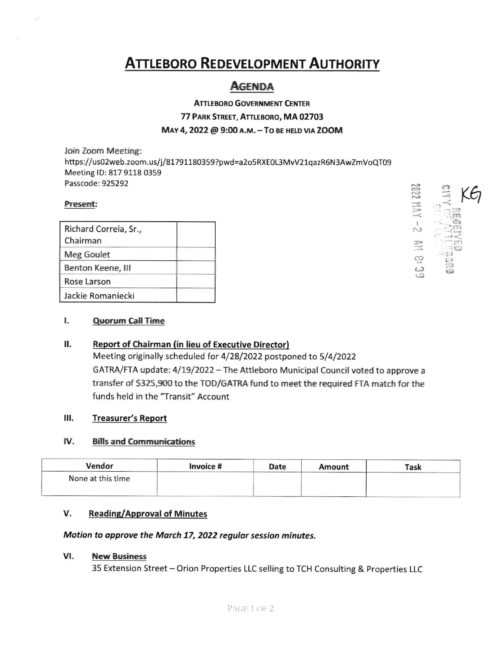# **ATTLEBORO REDEVELOPMENT AUTHORITY**

## **AGENDA**

**ATTLEBORO GOVERNMENT CENTER** 77 PARK STREET, ATTLEBORO, MA 02703 MAY 4, 2022 @ 9:00 A.M. - TO BE HELD VIA ZOOM

Join Zoom Meeting: https://us02web.zoom.us/j/81791180359?pwd=a2o5RXE0L3MvV21qazR6N3AwZmVoQT09 Meeting ID: 817 9118 0359 Passcode: 925292

## Present:

| Richard Correia, Sr., |  |
|-----------------------|--|
| Chairman              |  |
| Meg Goulet            |  |
| Benton Keene, III     |  |
| Rose Larson           |  |
| Jackie Romaniecki     |  |



#### Н. **Report of Chairman (in lieu of Executive Director)**

Meeting originally scheduled for 4/28/2022 postponed to 5/4/2022 GATRA/FTA update: 4/19/2022 - The Attleboro Municipal Council voted to approve a transfer of \$325,900 to the TOD/GATRA fund to meet the required FTA match for the funds held in the "Transit" Account

#### Ш. **Treasurer's Report**

#### IV. **Bills and Communications**

| Vendor            | Invoice # | Date | Amount | <b>Task</b> |
|-------------------|-----------|------|--------|-------------|
| None at this time |           |      |        |             |
|                   |           |      |        |             |

#### V. **Reading/Approval of Minutes**

### Motion to approve the March 17, 2022 regular session minutes.

#### VI. **New Business**

35 Extension Street - Orion Properties LLC selling to TCH Consulting & Properties LLC